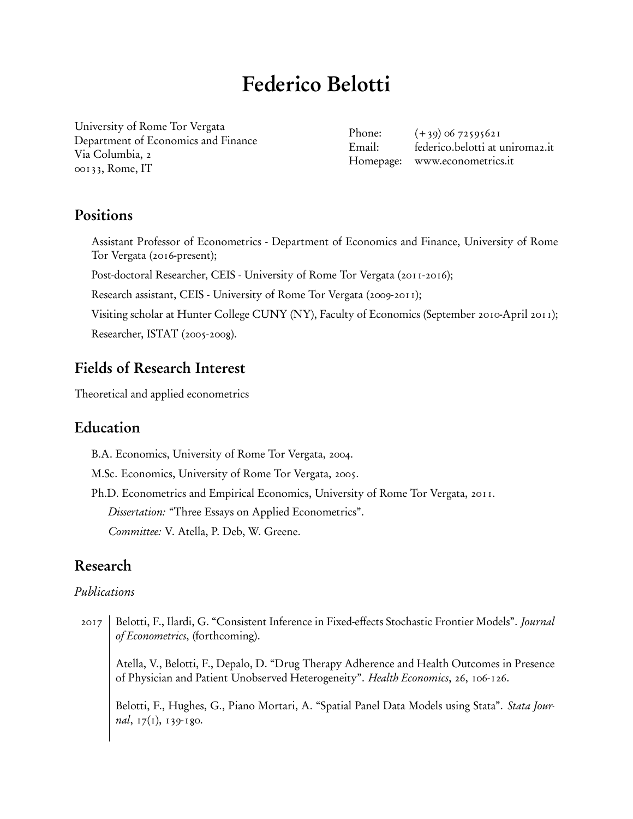# Federico Belotti

University of Rome Tor Vergata [Department of Economics and Finance](http://economia.uniroma2.it/en/def/) Via Columbia, 2 00133, Rome, IT

Phone:  $(+39)$  06 72595621 Email: federico.belotti at uniroma2.it Homepage: [www.econometrics.it](http://www.econometrics.it/)

# Positions

Assistant Professor of Econometrics - Department of Economics and Finance, University of Rome Tor Vergata (2016-present);

Post-doctoral Researcher, CEIS - University of Rome Tor Vergata (2011-2016);

Research assistant, CEIS - University of Rome Tor Vergata (2009-2011);

Visiting scholar at Hunter College CUNY (NY), Faculty of Economics (September 2010-April 2011);

Researcher, ISTAT (2005-2008).

# Fields of Research Interest

Theoretical and applied econometrics

# Education

B.A. Economics, University of Rome Tor Vergata, 2004.

M.Sc. Economics, University of Rome Tor Vergata, 2005.

Ph.D. Econometrics and Empirical Economics, University of Rome Tor Vergata, 2011.

Dissertation: "Three Essays on Applied Econometrics".

Committee: V. Atella, P. Deb, W. Greene.

# Research

## Publications

2017 Belotti, F., Ilardi, G. "Consistent Inference in Fixed-effects Stochastic Frontier Models". Journal of Econometrics, (forthcoming).

Atella, V., Belotti, F., Depalo, D. "Drug Therapy Adherence and Health Outcomes in Presence of Physician and Patient Unobserved Heterogeneity". Health Economics, 26, 106-126.

Belotti, F., Hughes, G., Piano Mortari, A. ["Spatial Panel Data Models using Stata".](http://www.stata-journal.com/article.html?article=st0470) Stata Journal,  $17(1)$ ,  $139-180$ .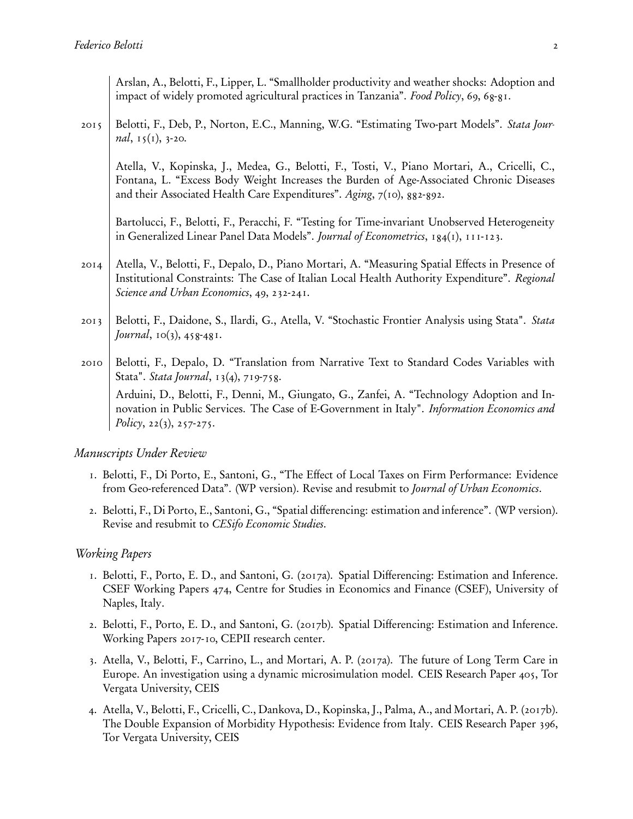Arslan, A., Belotti, F., Lipper, L. ["Smallholder productivity and weather shocks: Adoption and](http://www.sciencedirect.com/science/article/pii/S0306919217301872) [impact of widely promoted agricultural practices in Tanzania".](http://www.sciencedirect.com/science/article/pii/S0306919217301872) Food Policy, 69, 68-81.

2015 Belotti, F., Deb, P., Norton, E.C., Manning, W.G. ["Estimating Two-part Models".](http://www.stata-journal.com/article.html?article=st0368) Stata Journal,  $15(1)$ ,  $3-20$ .

Atella, V., Kopinska, J., Medea, G., Belotti, F., Tosti, V., Piano Mortari, A., Cricelli, C., Fontana, L. ["Excess Body Weight Increases the Burden of Age-Associated Chronic Diseases](http://www.impactaging.com/papers/v7/n10/abs/100833a.html) [and their Associated Health Care Expenditures".](http://www.impactaging.com/papers/v7/n10/abs/100833a.html) Aging, 7(10), 882-892.

Bartolucci, F., Belotti, F., Peracchi, F. ["Testing for Time-invariant Unobserved Heterogeneity](http://www.sciencedirect.com/science/article/pii/S0304407614001833) [in Generalized Linear Panel Data Models".](http://www.sciencedirect.com/science/article/pii/S0304407614001833) Journal of Econometrics, 184(1), 111-123.

- 2014 Atella, V., Belotti, F., Depalo, D., Piano Mortari, A. ["Measuring Spatial Effects in Presence of](http://www.sciencedirect.com/science/article/pii/S0166046214000763) [Institutional Constraints: The Case of Italian Local Health Authority Expenditure".](http://www.sciencedirect.com/science/article/pii/S0166046214000763) Regional Science and Urban Economics, 49, 232-241.
- 2013 Belotti, F., Daidone, S., Ilardi, G., Atella, V. ["Stochastic Frontier Analysis using Stata".](http://www.stata-journal.com/article.html?article=st0315) Stata Journal,  $10(3)$ ,  $458-481$ .
- 2010 Belotti, F., Depalo, D. ["Translation from Narrative Text to Standard Codes Variables with](http://www.stata-journal.com/article.html?article=dm0050) [Stata".](http://www.stata-journal.com/article.html?article=dm0050) Stata Journal, 13(4), 719-758. Arduini, D., Belotti, F., Denni, M., Giungato, G., Zanfei, A. ["Technology Adoption and In-](http://www.sciencedirect.com/science/article/pii/S0167624510000156)

[novation in Public Services. The Case of E-Government in Italy".](http://www.sciencedirect.com/science/article/pii/S0167624510000156) Information Economics and Policy,  $22(3)$ ,  $257-275$ .

### Manuscripts Under Review

- 1. Belotti, F., Di Porto, E., Santoni, G., "The Effect of Local Taxes on Firm Performance: Evidence from Geo-referenced Data". [\(WP version\)](http://www.cepii.fr/PDF_PUB/wp/2016/wp2016-03.pdf). Revise and resubmit to Journal of Urban Economics.
- 2. Belotti, F., Di Porto, E., Santoni, G., "Spatial differencing: estimation and inference". [\(WP version\)](http://www.cepii.fr/PDF_PUB/wp/2017/wp2017-10.pdf). Revise and resubmit to CESifo Economic Studies.

#### Working Papers

- 1. Belotti, F., Porto, E. D., and Santoni, G. (2017a). Spatial Differencing: Estimation and Inference. CSEF Working Papers 474, Centre for Studies in Economics and Finance (CSEF), University of Naples, Italy.
- 2. Belotti, F., Porto, E. D., and Santoni, G. (2017b). Spatial Differencing: Estimation and Inference. Working Papers 2017-10, CEPII research center.
- 3. Atella, V., Belotti, F., Carrino, L., and Mortari, A. P. (2017a). The future of Long Term Care in Europe. An investigation using a dynamic microsimulation model. CEIS Research Paper 405, Tor Vergata University, CEIS
- 4. Atella, V., Belotti, F., Cricelli, C., Dankova, D., Kopinska, J., Palma, A., and Mortari, A. P. (2017b). The Double Expansion of Morbidity Hypothesis: Evidence from Italy. CEIS Research Paper 396, Tor Vergata University, CEIS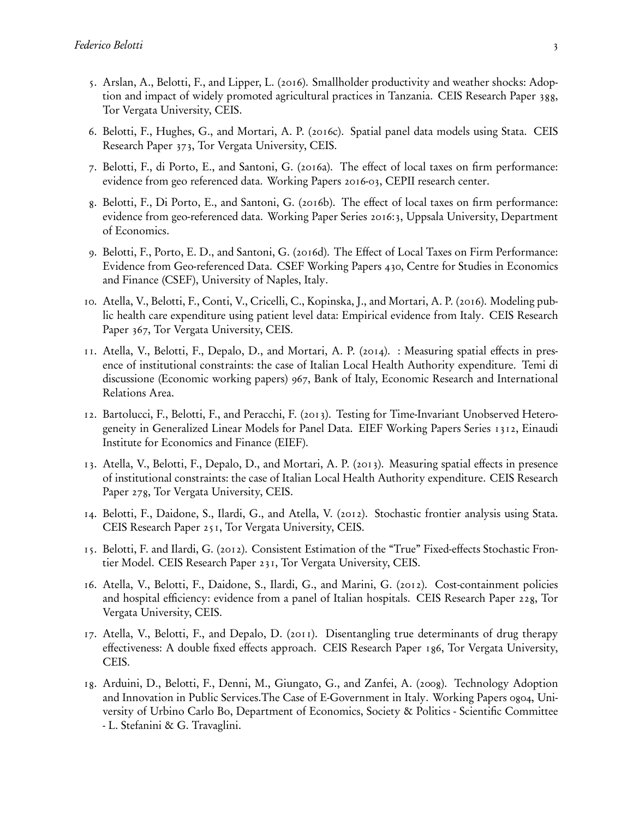- 5. Arslan, A., Belotti, F., and Lipper, L. (2016). Smallholder productivity and weather shocks: Adoption and impact of widely promoted agricultural practices in Tanzania. CEIS Research Paper 388, Tor Vergata University, CEIS.
- 6. Belotti, F., Hughes, G., and Mortari, A. P. (2016c). Spatial panel data models using Stata. CEIS Research Paper 373, Tor Vergata University, CEIS.
- 7. Belotti, F., di Porto, E., and Santoni, G. (2016a). The effect of local taxes on firm performance: evidence from geo referenced data. Working Papers 2016-03, CEPII research center.
- 8. Belotti, F., Di Porto, E., and Santoni, G. (2016b). The effect of local taxes on firm performance: evidence from geo-referenced data. Working Paper Series 2016:3, Uppsala University, Department of Economics.
- 9. Belotti, F., Porto, E. D., and Santoni, G. (2016d). The Effect of Local Taxes on Firm Performance: Evidence from Geo-referenced Data. CSEF Working Papers 430, Centre for Studies in Economics and Finance (CSEF), University of Naples, Italy.
- 10. Atella, V., Belotti, F., Conti, V., Cricelli, C., Kopinska, J., and Mortari, A. P. (2016). Modeling public health care expenditure using patient level data: Empirical evidence from Italy. CEIS Research Paper 367, Tor Vergata University, CEIS.
- 11. Atella, V., Belotti, F., Depalo, D., and Mortari, A. P. (2014). : Measuring spatial effects in presence of institutional constraints: the case of Italian Local Health Authority expenditure. Temi di discussione (Economic working papers) 967, Bank of Italy, Economic Research and International Relations Area.
- 12. Bartolucci, F., Belotti, F., and Peracchi, F. (2013). Testing for Time-Invariant Unobserved Heterogeneity in Generalized Linear Models for Panel Data. EIEF Working Papers Series 1312, Einaudi Institute for Economics and Finance (EIEF).
- 13. Atella, V., Belotti, F., Depalo, D., and Mortari, A. P. (2013). Measuring spatial effects in presence of institutional constraints: the case of Italian Local Health Authority expenditure. CEIS Research Paper 278, Tor Vergata University, CEIS.
- 14. Belotti, F., Daidone, S., Ilardi, G., and Atella, V. (2012). Stochastic frontier analysis using Stata. CEIS Research Paper 251, Tor Vergata University, CEIS.
- 15. Belotti, F. and Ilardi, G. (2012). Consistent Estimation of the "True" Fixed-effects Stochastic Frontier Model. CEIS Research Paper 231, Tor Vergata University, CEIS.
- 16. Atella, V., Belotti, F., Daidone, S., Ilardi, G., and Marini, G. (2012). Cost-containment policies and hospital efficiency: evidence from a panel of Italian hospitals. CEIS Research Paper 228, Tor Vergata University, CEIS.
- 17. Atella, V., Belotti, F., and Depalo, D. (2011). Disentangling true determinants of drug therapy effectiveness: A double fixed effects approach. CEIS Research Paper 186, Tor Vergata University, CEIS.
- 18. Arduini, D., Belotti, F., Denni, M., Giungato, G., and Zanfei, A. (2008). Technology Adoption and Innovation in Public Services.The Case of E-Government in Italy. Working Papers 0804, University of Urbino Carlo Bo, Department of Economics, Society & Politics - Scientific Committee - L. Stefanini & G. Travaglini.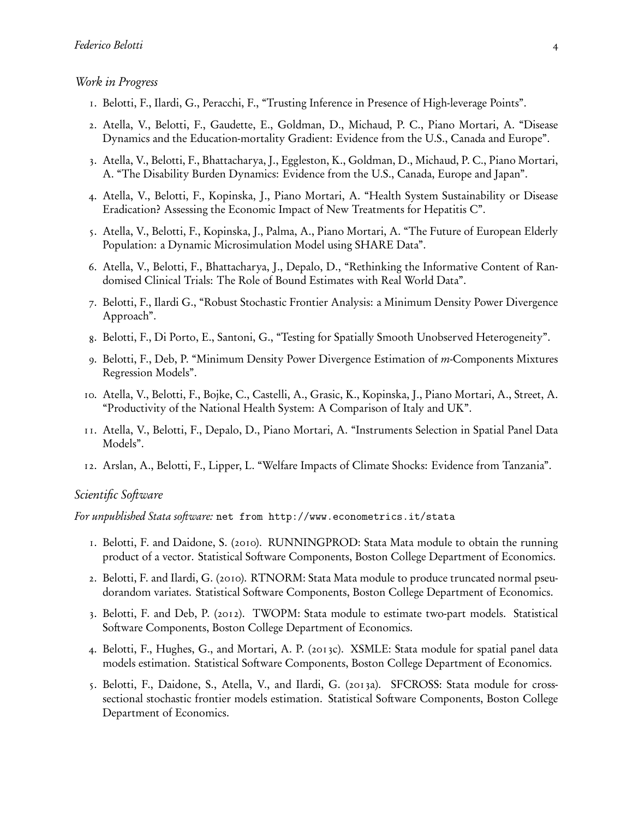#### Work in Progress

- 1. Belotti, F., Ilardi, G., Peracchi, F., "Trusting Inference in Presence of High-leverage Points".
- 2. Atella, V., Belotti, F., Gaudette, E., Goldman, D., Michaud, P. C., Piano Mortari, A. "Disease Dynamics and the Education-mortality Gradient: Evidence from the U.S., Canada and Europe".
- 3. Atella, V., Belotti, F., Bhattacharya, J., Eggleston, K., Goldman, D., Michaud, P. C., Piano Mortari, A. "The Disability Burden Dynamics: Evidence from the U.S., Canada, Europe and Japan".
- 4. Atella, V., Belotti, F., Kopinska, J., Piano Mortari, A. "Health System Sustainability or Disease Eradication? Assessing the Economic Impact of New Treatments for Hepatitis C".
- 5. Atella, V., Belotti, F., Kopinska, J., Palma, A., Piano Mortari, A. "The Future of European Elderly Population: a Dynamic Microsimulation Model using SHARE Data".
- 6. Atella, V., Belotti, F., Bhattacharya, J., Depalo, D., "Rethinking the Informative Content of Randomised Clinical Trials: The Role of Bound Estimates with Real World Data".
- 7. Belotti, F., Ilardi G., "Robust Stochastic Frontier Analysis: a Minimum Density Power Divergence Approach".
- 8. Belotti, F., Di Porto, E., Santoni, G., "Testing for Spatially Smooth Unobserved Heterogeneity".
- 9. Belotti, F., Deb, P. "Minimum Density Power Divergence Estimation of *m*-Components Mixtures Regression Models".
- 10. Atella, V., Belotti, F., Bojke, C., Castelli, A., Grasic, K., Kopinska, J., Piano Mortari, A., Street, A. "Productivity of the National Health System: A Comparison of Italy and UK".
- 11. Atella, V., Belotti, F., Depalo, D., Piano Mortari, A. "Instruments Selection in Spatial Panel Data Models".
- 12. Arslan, A., Belotti, F., Lipper, L. "Welfare Impacts of Climate Shocks: Evidence from Tanzania".

#### Scientific Software

For unpublished Stata software: net from http://www.econometrics.it/stata

- 1. Belotti, F. and Daidone, S. (2010). RUNNINGPROD: Stata Mata module to obtain the running product of a vector. Statistical Software Components, Boston College Department of Economics.
- 2. Belotti, F. and Ilardi, G. (2010). RTNORM: Stata Mata module to produce truncated normal pseudorandom variates. Statistical Software Components, Boston College Department of Economics.
- 3. Belotti, F. and Deb, P. (2012). TWOPM: Stata module to estimate two-part models. Statistical Software Components, Boston College Department of Economics.
- 4. Belotti, F., Hughes, G., and Mortari, A. P. (2013c). XSMLE: Stata module for spatial panel data models estimation. Statistical Software Components, Boston College Department of Economics.
- 5. Belotti, F., Daidone, S., Atella, V., and Ilardi, G. (2013a). SFCROSS: Stata module for crosssectional stochastic frontier models estimation. Statistical Software Components, Boston College Department of Economics.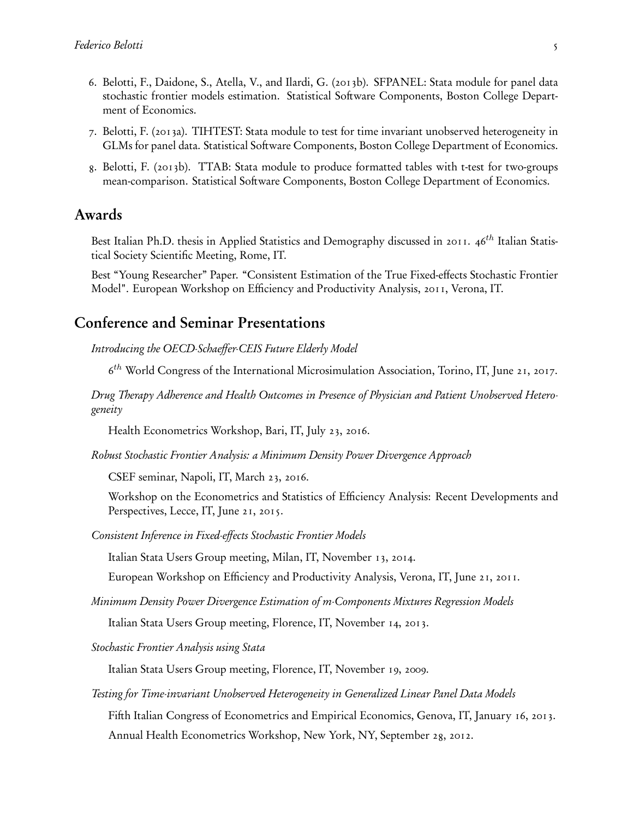- 6. Belotti, F., Daidone, S., Atella, V., and Ilardi, G. (2013b). SFPANEL: Stata module for panel data stochastic frontier models estimation. Statistical Software Components, Boston College Department of Economics.
- 7. Belotti, F. (2013a). TIHTEST: Stata module to test for time invariant unobserved heterogeneity in GLMs for panel data. Statistical Software Components, Boston College Department of Economics.
- 8. Belotti, F. (2013b). TTAB: Stata module to produce formatted tables with t-test for two-groups mean-comparison. Statistical Software Components, Boston College Department of Economics.

### Awards

Best Italian Ph.D. thesis in Applied Statistics and Demography discussed in 2011. 46<sup>th</sup> Italian Statistical Society Scientific Meeting, Rome, IT.

Best "Young Researcher" Paper. "Consistent Estimation of the True Fixed-effects Stochastic Frontier Model". European Workshop on Efficiency and Productivity Analysis, 2011, Verona, IT.

# Conference and Seminar Presentations

Introducing the OECD-Schaeffer-CEIS Future Elderly Model

6<sup>th</sup> World Congress of the International Microsimulation Association, Torino, IT, June 21, 2017.

Drug Therapy Adherence and Health Outcomes in Presence of Physician and Patient Unobserved Heterogeneity

Health Econometrics Workshop, Bari, IT, July 23, 2016.

Robust Stochastic Frontier Analysis: a Minimum Density Power Divergence Approach

CSEF seminar, Napoli, IT, March 23, 2016.

Workshop on the Econometrics and Statistics of Efficiency Analysis: Recent Developments and Perspectives, Lecce, IT, June 21, 2015.

Consistent Inference in Fixed-effects Stochastic Frontier Models

Italian Stata Users Group meeting, Milan, IT, November 13, 2014.

European Workshop on Efficiency and Productivity Analysis, Verona, IT, June 21, 2011.

Minimum Density Power Divergence Estimation of m-Components Mixtures Regression Models

Italian Stata Users Group meeting, Florence, IT, November 14, 2013.

Stochastic Frontier Analysis using Stata

Italian Stata Users Group meeting, Florence, IT, November 19, 2009.

Testing for Time-invariant Unobserved Heterogeneity in Generalized Linear Panel Data Models

Fifth Italian Congress of Econometrics and Empirical Economics, Genova, IT, January 16, 2013. Annual Health Econometrics Workshop, New York, NY, September 28, 2012.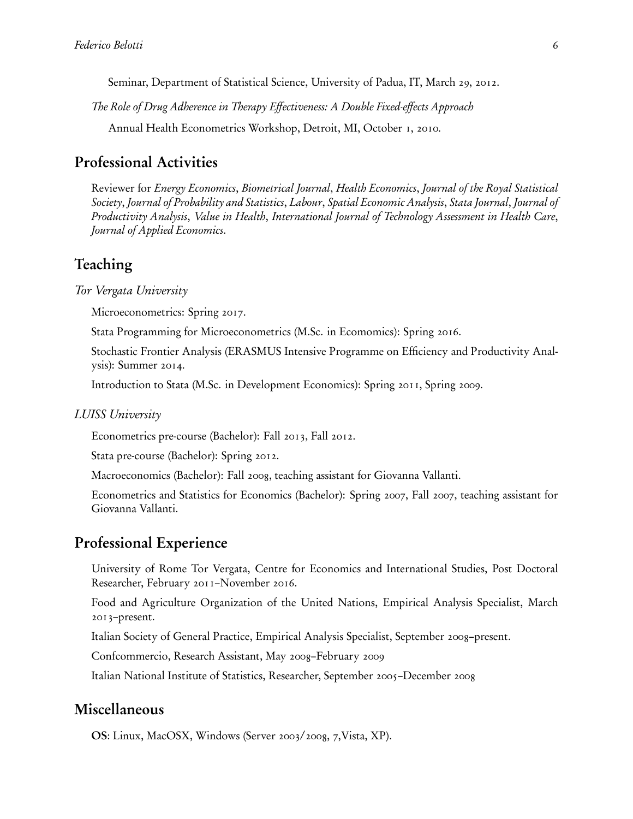Seminar, Department of Statistical Science, University of Padua, IT, March 29, 2012.

The Role of Drug Adherence in Therapy Effectiveness: A Double Fixed-effects Approach

Annual Health Econometrics Workshop, Detroit, MI, October 1, 2010.

# Professional Activities

Reviewer for Energy Economics, Biometrical Journal, Health Economics, Journal of the Royal Statistical Society, Journal of Probability and Statistics, Labour, Spatial Economic Analysis, Stata Journal, Journal of Productivity Analysis, Value in Health, International Journal of Technology Assessment in Health Care, Journal of Applied Economics.

# Teaching

Tor Vergata University

Microeconometrics: [Spring 2017.](http://economia.uniroma2.it/master-science/economics/corso/programma/935/)

Stata Programming for Microeconometrics [\(M.Sc. in Ecomomics\)](http://www.economia.uniroma2.it/master/mei/): Spring 2016.

Stochastic Frontier Analysis (ERASMUS Intensive Programme on Efficiency and Productivity Analysis): Summer 2014.

Introduction to Stata [\(M.Sc. in Development Economics\)](http://www.ceistorvergata.it/master/mesci/): Spring 2011, Spring 2009.

#### LUISS University

Econometrics pre-course (Bachelor): Fall 2013, Fall 2012.

Stata pre-course (Bachelor): Spring 2012.

Macroeconomics (Bachelor): Fall 2008, teaching assistant for Giovanna Vallanti.

Econometrics and Statistics for Economics (Bachelor): Spring 2007, Fall 2007, teaching assistant for Giovanna Vallanti.

# Professional Experience

University of Rome Tor Vergata, Centre for Economics and International Studies, Post Doctoral Researcher, February 2011–November 2016.

Food and Agriculture Organization of the United Nations, Empirical Analysis Specialist, March 2013–present.

Italian Society of General Practice, Empirical Analysis Specialist, September 2008–present.

Confcommercio, Research Assistant, May 2008–February 2009

Italian National Institute of Statistics, Researcher, September 2005–December 2008

### Miscellaneous

OS: Linux, MacOSX, Windows (Server 2003/2008, 7,Vista, XP).